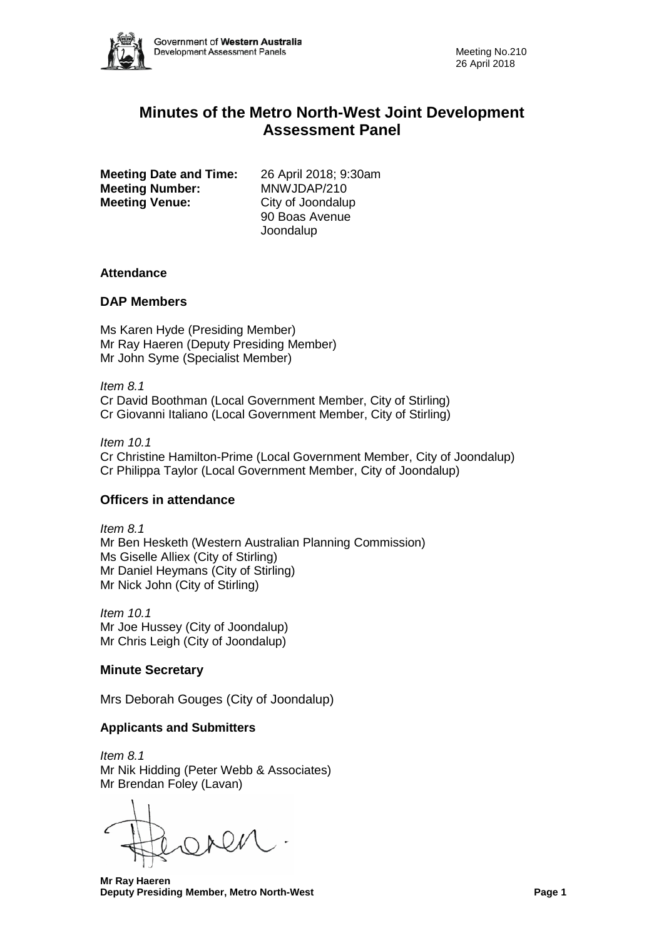

# **Minutes of the Metro North-West Joint Development Assessment Panel**

**Meeting Date and Time:** 26 April 2018; 9:30am<br>**Meeting Number:** MNWJDAP/210 **Meeting Number:** MNWJDAP/210<br> **Meeting Venue:** City of Joondalup **Meeting Venue:** 

90 Boas Avenue Joondalup

#### **Attendance**

#### **DAP Members**

Ms Karen Hyde (Presiding Member) Mr Ray Haeren (Deputy Presiding Member) Mr John Syme (Specialist Member)

*Item 8.1* Cr David Boothman (Local Government Member, City of Stirling) Cr Giovanni Italiano (Local Government Member, City of Stirling)

*Item 10.1* Cr Christine Hamilton-Prime (Local Government Member, City of Joondalup) Cr Philippa Taylor (Local Government Member, City of Joondalup)

# **Officers in attendance**

*Item 8.1* Mr Ben Hesketh (Western Australian Planning Commission) Ms Giselle Alliex (City of Stirling) Mr Daniel Heymans (City of Stirling) Mr Nick John (City of Stirling)

*Item 10.1* Mr Joe Hussey (City of Joondalup) Mr Chris Leigh (City of Joondalup)

# **Minute Secretary**

Mrs Deborah Gouges (City of Joondalup)

# **Applicants and Submitters**

*Item 8.1* Mr Nik Hidding (Peter Webb & Associates) Mr Brendan Foley (Lavan)

 **Mr Ray Haeren Deputy Presiding Member, Metro North-West Page 1**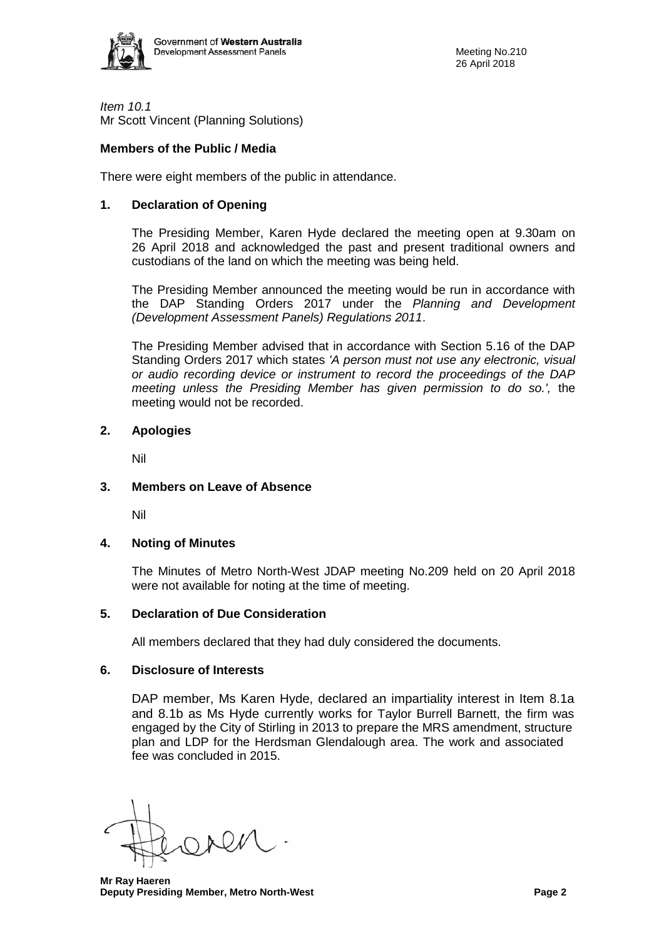

*Item 10.1* Mr Scott Vincent (Planning Solutions)

# **Members of the Public / Media**

There were eight members of the public in attendance.

# **1. Declaration of Opening**

The Presiding Member, Karen Hyde declared the meeting open at 9.30am on 26 April 2018 and acknowledged the past and present traditional owners and custodians of the land on which the meeting was being held.

The Presiding Member announced the meeting would be run in accordance with the DAP Standing Orders 2017 under the *Planning and Development (Development Assessment Panels) Regulations 2011*.

The Presiding Member advised that in accordance with Section 5.16 of the DAP Standing Orders 2017 which states *'A person must not use any electronic, visual or audio recording device or instrument to record the proceedings of the DAP meeting unless the Presiding Member has given permission to do so.',* the meeting would not be recorded.

# **2. Apologies**

Nil

# **3. Members on Leave of Absence**

Nil

# **4. Noting of Minutes**

The Minutes of Metro North-West JDAP meeting No.209 held on 20 April 2018 were not available for noting at the time of meeting.

# **5. Declaration of Due Consideration**

All members declared that they had duly considered the documents.

# **6. Disclosure of Interests**

DAP member, Ms Karen Hyde, declared an impartiality interest in Item 8.1a and 8.1b as Ms Hyde currently works for Taylor Burrell Barnett, the firm was engaged by the City of Stirling in 2013 to prepare the MRS amendment, structure plan and LDP for the Herdsman Glendalough area. The work and associated fee was concluded in 2015.

 **Mr Ray Haeren Deputy Presiding Member, Metro North-West Page 2**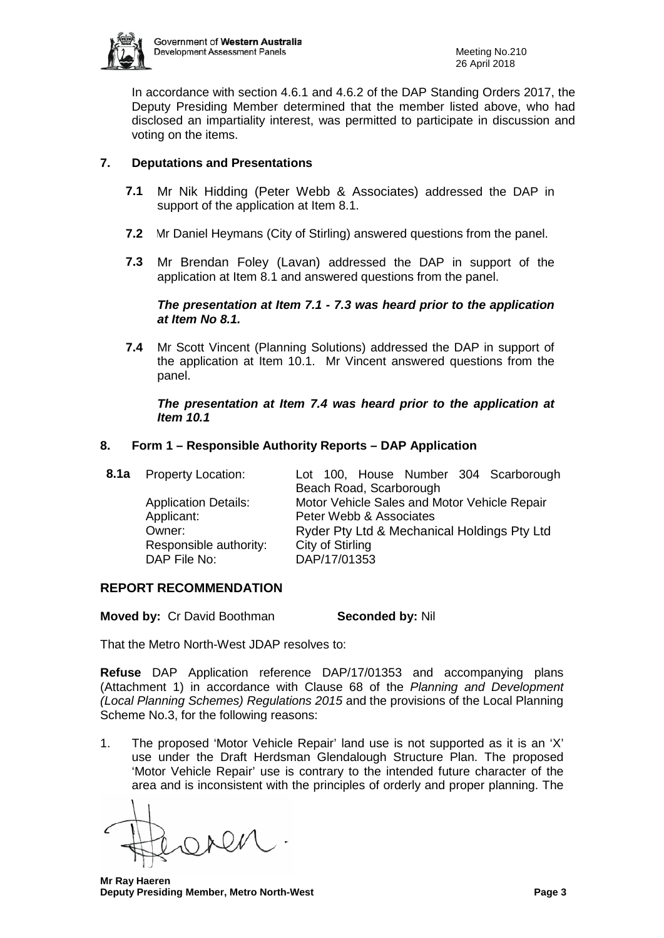

In accordance with section 4.6.1 and 4.6.2 of the DAP Standing Orders 2017, the Deputy Presiding Member determined that the member listed above, who had disclosed an impartiality interest, was permitted to participate in discussion and voting on the items.

# **7. Deputations and Presentations**

- **7.1** Mr Nik Hidding (Peter Webb & Associates) addressed the DAP in support of the application at Item 8.1.
- **7.2** Mr Daniel Heymans (City of Stirling) answered questions from the panel.
- **7.3** Mr Brendan Foley (Lavan) addressed the DAP in support of the application at Item 8.1 and answered questions from the panel.

#### *The presentation at Item 7.1 - 7.3 was heard prior to the application at Item No 8.1.*

**7.4** Mr Scott Vincent (Planning Solutions) addressed the DAP in support of the application at Item 10.1. Mr Vincent answered questions from the panel.

# *The presentation at Item 7.4 was heard prior to the application at Item 10.1*

# **8. Form 1 – Responsible Authority Reports – DAP Application**

| Lot 100, House Number 304 Scarborough        |
|----------------------------------------------|
|                                              |
| Motor Vehicle Sales and Motor Vehicle Repair |
|                                              |
| Ryder Pty Ltd & Mechanical Holdings Pty Ltd  |
|                                              |
|                                              |
|                                              |

# **REPORT RECOMMENDATION**

**Moved by: Cr David Boothman <b>Seconded by:** Nil

That the Metro North-West JDAP resolves to:

**Refuse** DAP Application reference DAP/17/01353 and accompanying plans (Attachment 1) in accordance with Clause 68 of the *Planning and Development (Local Planning Schemes) Regulations 2015* and the provisions of the Local Planning Scheme No.3, for the following reasons:

1. The proposed 'Motor Vehicle Repair' land use is not supported as it is an 'X' use under the Draft Herdsman Glendalough Structure Plan. The proposed 'Motor Vehicle Repair' use is contrary to the intended future character of the area and is inconsistent with the principles of orderly and proper planning. The

 **Mr Ray Haeren Deputy Presiding Member, Metro North-West Page 3**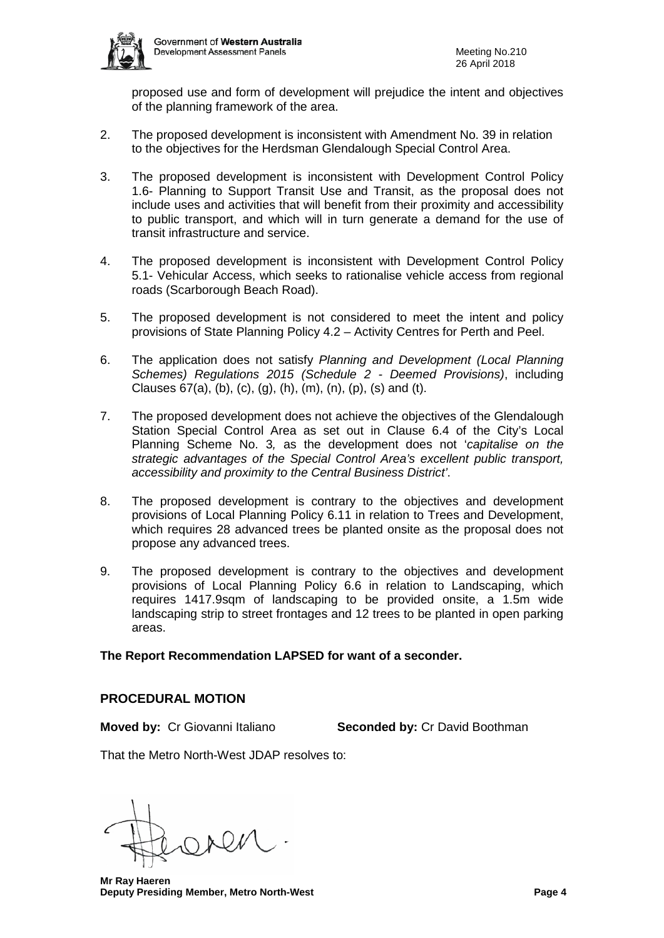

proposed use and form of development will prejudice the intent and objectives of the planning framework of the area.

- 2. The proposed development is inconsistent with Amendment No. 39 in relation to the objectives for the Herdsman Glendalough Special Control Area.
- 3. The proposed development is inconsistent with Development Control Policy 1.6- Planning to Support Transit Use and Transit, as the proposal does not include uses and activities that will benefit from their proximity and accessibility to public transport, and which will in turn generate a demand for the use of transit infrastructure and service.
- 4. The proposed development is inconsistent with Development Control Policy 5.1- Vehicular Access, which seeks to rationalise vehicle access from regional roads (Scarborough Beach Road).
- 5. The proposed development is not considered to meet the intent and policy provisions of State Planning Policy 4.2 – Activity Centres for Perth and Peel.
- 6. The application does not satisfy *Planning and Development (Local Planning Schemes) Regulations 2015 (Schedule 2 - Deemed Provisions)*, including Clauses  $67(a)$ , (b), (c), (g), (h), (m), (n), (p), (s) and (t).
- 7. The proposed development does not achieve the objectives of the Glendalough Station Special Control Area as set out in Clause 6.4 of the City's Local Planning Scheme No. 3*,* as the development does not '*capitalise on the strategic advantages of the Special Control Area's excellent public transport, accessibility and proximity to the Central Business District'*.
- 8. The proposed development is contrary to the objectives and development provisions of Local Planning Policy 6.11 in relation to Trees and Development, which requires 28 advanced trees be planted onsite as the proposal does not propose any advanced trees.
- 9. The proposed development is contrary to the objectives and development provisions of Local Planning Policy 6.6 in relation to Landscaping, which requires 1417.9sqm of landscaping to be provided onsite, a 1.5m wide landscaping strip to street frontages and 12 trees to be planted in open parking areas.

# **The Report Recommendation LAPSED for want of a seconder.**

# **PROCEDURAL MOTION**

**Moved by:** Cr Giovanni Italiano **Seconded by:** Cr David Boothman

That the Metro North-West JDAP resolves to:

 **Mr Ray Haeren Deputy Presiding Member, Metro North-West Page 4**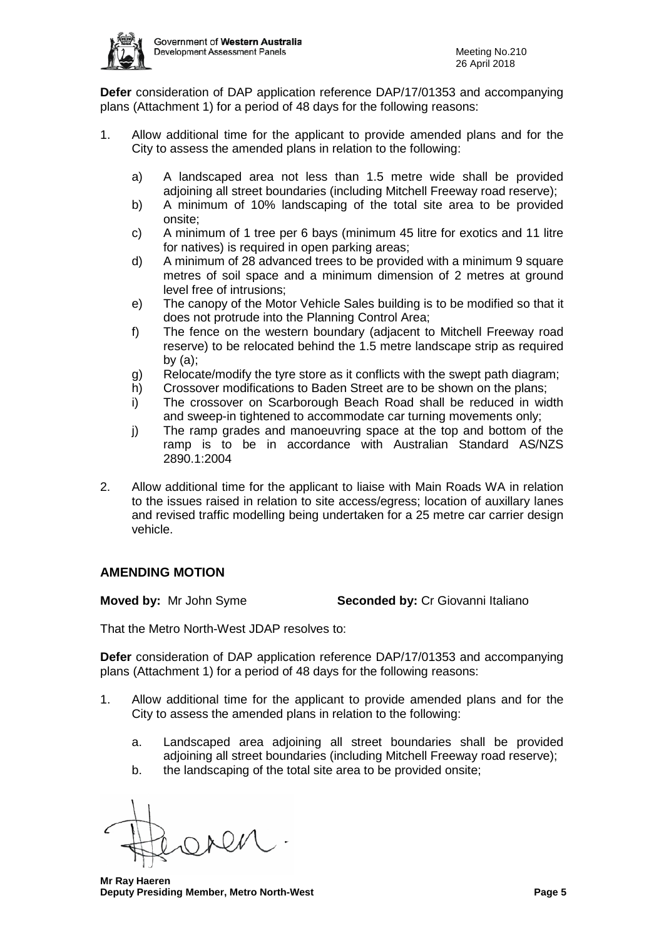

**Defer** consideration of DAP application reference DAP/17/01353 and accompanying plans (Attachment 1) for a period of 48 days for the following reasons:

- 1. Allow additional time for the applicant to provide amended plans and for the City to assess the amended plans in relation to the following:
	- a) A landscaped area not less than 1.5 metre wide shall be provided adjoining all street boundaries (including Mitchell Freeway road reserve);
	- b) A minimum of 10% landscaping of the total site area to be provided onsite;
	- c) A minimum of 1 tree per 6 bays (minimum 45 litre for exotics and 11 litre for natives) is required in open parking areas;
	- d) A minimum of 28 advanced trees to be provided with a minimum 9 square metres of soil space and a minimum dimension of 2 metres at ground level free of intrusions;
	- e) The canopy of the Motor Vehicle Sales building is to be modified so that it does not protrude into the Planning Control Area;
	- f) The fence on the western boundary (adjacent to Mitchell Freeway road reserve) to be relocated behind the 1.5 metre landscape strip as required by  $(a)$ :
	- g) Relocate/modify the tyre store as it conflicts with the swept path diagram;
	- h) Crossover modifications to Baden Street are to be shown on the plans;
	- i) The crossover on Scarborough Beach Road shall be reduced in width and sweep-in tightened to accommodate car turning movements only;
	- j) The ramp grades and manoeuvring space at the top and bottom of the ramp is to be in accordance with Australian Standard AS/NZS 2890.1:2004
- 2. Allow additional time for the applicant to liaise with Main Roads WA in relation to the issues raised in relation to site access/egress; location of auxillary lanes and revised traffic modelling being undertaken for a 25 metre car carrier design vehicle.

# **AMENDING MOTION**

**Moved by:** Mr John Syme **Seconded by:** Cr Giovanni Italiano

That the Metro North-West JDAP resolves to:

**Defer** consideration of DAP application reference DAP/17/01353 and accompanying plans (Attachment 1) for a period of 48 days for the following reasons:

- 1. Allow additional time for the applicant to provide amended plans and for the City to assess the amended plans in relation to the following:
	- a. Landscaped area adjoining all street boundaries shall be provided adjoining all street boundaries (including Mitchell Freeway road reserve);
	- b. the landscaping of the total site area to be provided onsite;

 **Mr Ray Haeren Deputy Presiding Member, Metro North-West Page 5**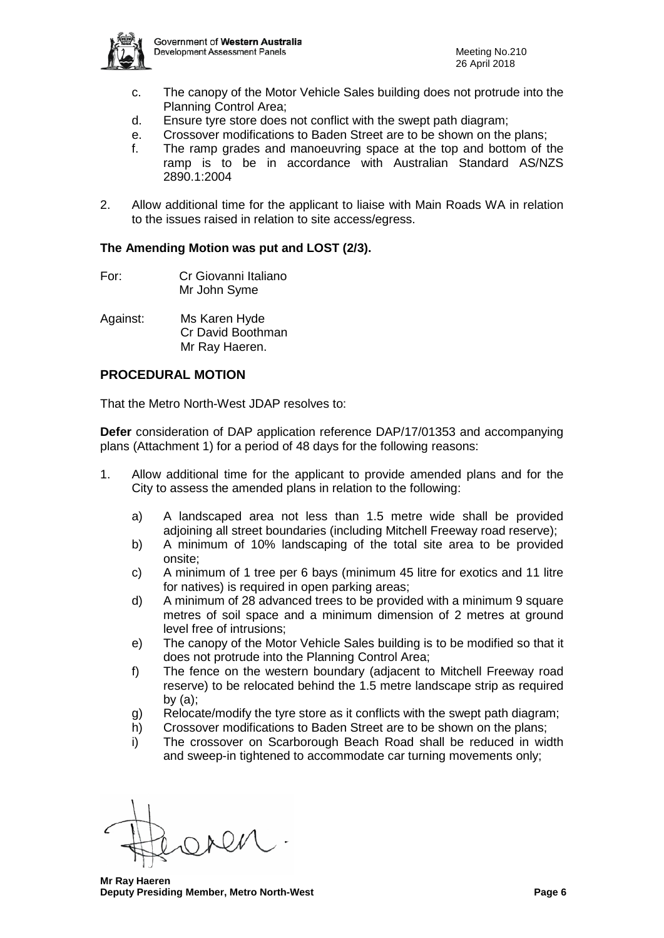

- c. The canopy of the Motor Vehicle Sales building does not protrude into the Planning Control Area;
- d. Ensure tyre store does not conflict with the swept path diagram;
- e. Crossover modifications to Baden Street are to be shown on the plans;
- f. The ramp grades and manoeuvring space at the top and bottom of the ramp is to be in accordance with Australian Standard AS/NZS 2890.1:2004
- 2. Allow additional time for the applicant to liaise with Main Roads WA in relation to the issues raised in relation to site access/egress.

# **The Amending Motion was put and LOST (2/3).**

- For: Cr Giovanni Italiano Mr John Syme
- Against: Ms Karen Hyde Cr David Boothman Mr Ray Haeren.

# **PROCEDURAL MOTION**

That the Metro North-West JDAP resolves to:

**Defer** consideration of DAP application reference DAP/17/01353 and accompanying plans (Attachment 1) for a period of 48 days for the following reasons:

- 1. Allow additional time for the applicant to provide amended plans and for the City to assess the amended plans in relation to the following:
	- a) A landscaped area not less than 1.5 metre wide shall be provided adjoining all street boundaries (including Mitchell Freeway road reserve);
	- b) A minimum of 10% landscaping of the total site area to be provided onsite;
	- c) A minimum of 1 tree per 6 bays (minimum 45 litre for exotics and 11 litre for natives) is required in open parking areas;
	- d) A minimum of 28 advanced trees to be provided with a minimum 9 square metres of soil space and a minimum dimension of 2 metres at ground level free of intrusions;
	- e) The canopy of the Motor Vehicle Sales building is to be modified so that it does not protrude into the Planning Control Area;
	- f) The fence on the western boundary (adjacent to Mitchell Freeway road reserve) to be relocated behind the 1.5 metre landscape strip as required by (a);
	- g) Relocate/modify the tyre store as it conflicts with the swept path diagram;
	- h) Crossover modifications to Baden Street are to be shown on the plans;
	- i) The crossover on Scarborough Beach Road shall be reduced in width and sweep-in tightened to accommodate car turning movements only;

 **Mr Ray Haeren Deputy Presiding Member, Metro North-West Page 6**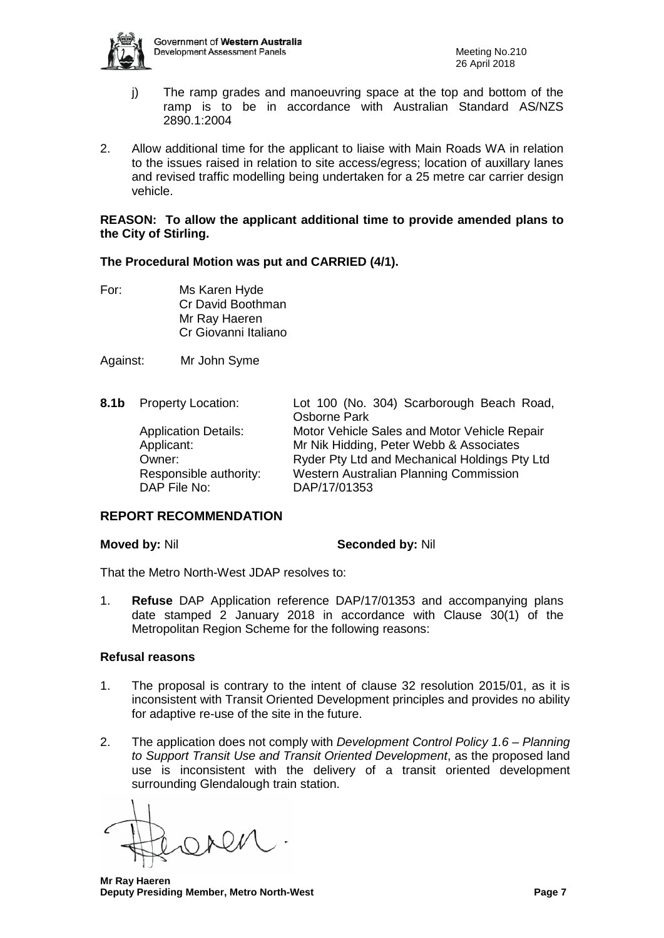

- j) The ramp grades and manoeuvring space at the top and bottom of the ramp is to be in accordance with Australian Standard AS/NZS 2890.1:2004
- 2. Allow additional time for the applicant to liaise with Main Roads WA in relation to the issues raised in relation to site access/egress; location of auxillary lanes and revised traffic modelling being undertaken for a 25 metre car carrier design vehicle.

#### **REASON: To allow the applicant additional time to provide amended plans to the City of Stirling.**

# **The Procedural Motion was put and CARRIED (4/1).**

For: Ms Karen Hyde Cr David Boothman Mr Ray Haeren Cr Giovanni Italiano

Against: Mr John Syme

**8.1b** Property Location: Lot 100 (No. 304) Scarborough Beach Road, Osborne Park Application Details: Motor Vehicle Sales and Motor Vehicle Repair Applicant: Mr Nik Hidding, Peter Webb & Associates Owner: Ryder Pty Ltd and Mechanical Holdings Pty Ltd Responsible authority: Western Australian Planning Commission DAP File No: DAP/17/01353

# **REPORT RECOMMENDATION**

#### **Moved by:** Nil **Seconded by:** Nil

That the Metro North-West JDAP resolves to:

1. **Refuse** DAP Application reference DAP/17/01353 and accompanying plans date stamped 2 January 2018 in accordance with Clause 30(1) of the Metropolitan Region Scheme for the following reasons:

#### **Refusal reasons**

- 1. The proposal is contrary to the intent of clause 32 resolution 2015/01, as it is inconsistent with Transit Oriented Development principles and provides no ability for adaptive re-use of the site in the future.
- 2. The application does not comply with *Development Control Policy 1.6 – Planning to Support Transit Use and Transit Oriented Development*, as the proposed land use is inconsistent with the delivery of a transit oriented development surrounding Glendalough train station.

 **Mr Ray Haeren Deputy Presiding Member, Metro North-West Page 7**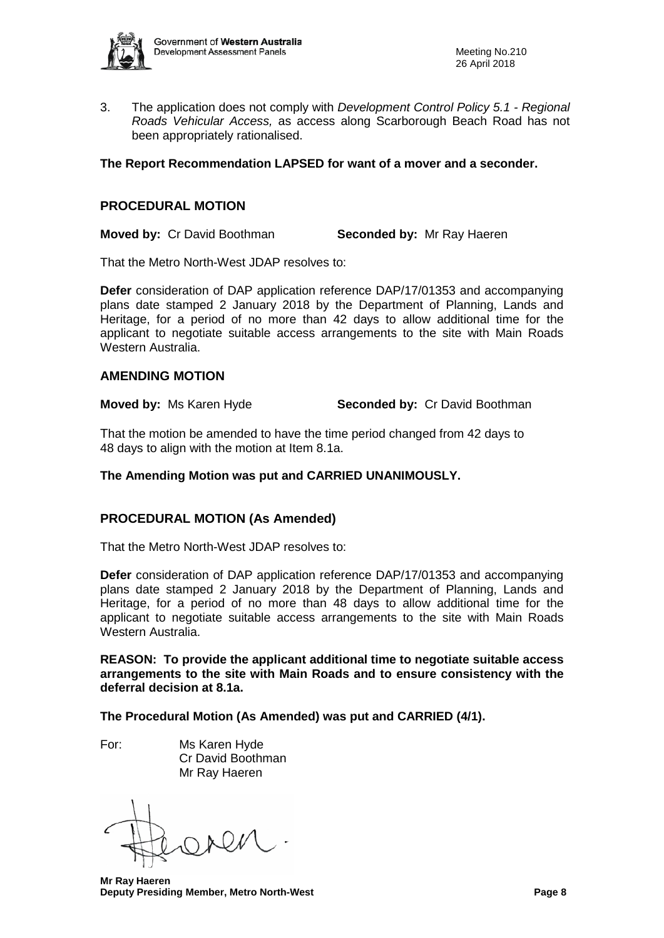

3. The application does not comply with *Development Control Policy 5.1 - Regional Roads Vehicular Access,* as access along Scarborough Beach Road has not been appropriately rationalised.

#### **The Report Recommendation LAPSED for want of a mover and a seconder.**

#### **PROCEDURAL MOTION**

**Moved by:** Cr David Boothman **Seconded by:** Mr Ray Haeren

That the Metro North-West JDAP resolves to:

**Defer** consideration of DAP application reference DAP/17/01353 and accompanying plans date stamped 2 January 2018 by the Department of Planning, Lands and Heritage, for a period of no more than 42 days to allow additional time for the applicant to negotiate suitable access arrangements to the site with Main Roads Western Australia.

#### **AMENDING MOTION**

**Moved by:** Ms Karen Hyde **Seconded by:** Cr David Boothman

That the motion be amended to have the time period changed from 42 days to 48 days to align with the motion at Item 8.1a.

**The Amending Motion was put and CARRIED UNANIMOUSLY.**

# **PROCEDURAL MOTION (As Amended)**

That the Metro North-West JDAP resolves to:

**Defer** consideration of DAP application reference DAP/17/01353 and accompanying plans date stamped 2 January 2018 by the Department of Planning, Lands and Heritage, for a period of no more than 48 days to allow additional time for the applicant to negotiate suitable access arrangements to the site with Main Roads Western Australia.

**REASON: To provide the applicant additional time to negotiate suitable access arrangements to the site with Main Roads and to ensure consistency with the deferral decision at 8.1a.**

**The Procedural Motion (As Amended) was put and CARRIED (4/1).**

For: Ms Karen Hyde Cr David Boothman Mr Ray Haeren

 **Mr Ray Haeren Deputy Presiding Member, Metro North-West Page 8**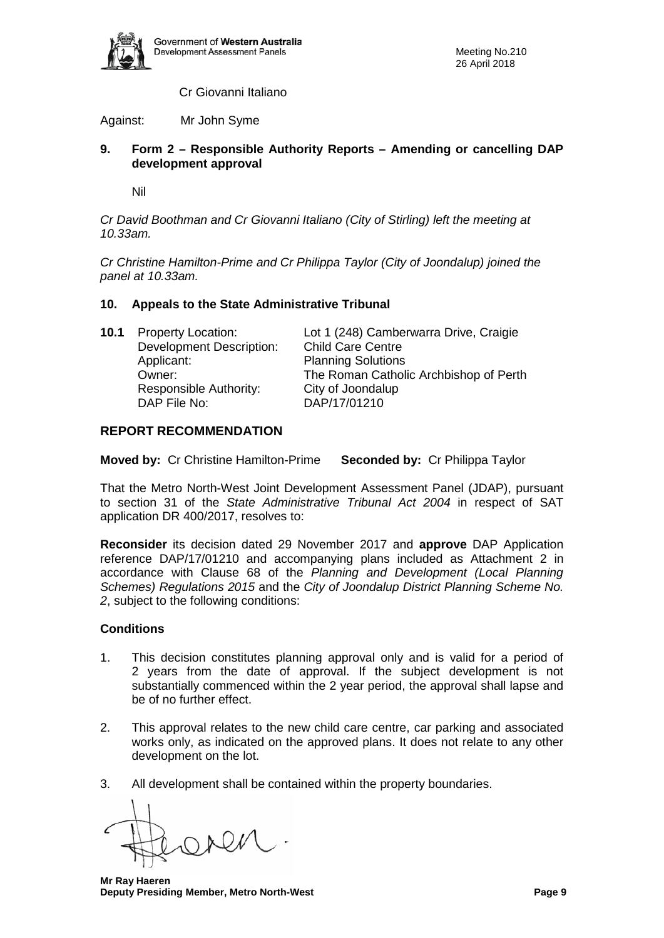

Cr Giovanni Italiano

Against: Mr John Syme

# **9. Form 2 – Responsible Authority Reports – Amending or cancelling DAP development approval**

Nil

*Cr David Boothman and Cr Giovanni Italiano (City of Stirling) left the meeting at 10.33am.*

*Cr Christine Hamilton-Prime and Cr Philippa Taylor (City of Joondalup) joined the panel at 10.33am.* 

# **10. Appeals to the State Administrative Tribunal**

| <b>Property Location:</b>       | Lot 1 (248) Camberwarra Drive, Craigie |
|---------------------------------|----------------------------------------|
| <b>Development Description:</b> | <b>Child Care Centre</b>               |
| Applicant:                      | <b>Planning Solutions</b>              |
| Owner:                          | The Roman Catholic Archbishop of Perth |
| Responsible Authority:          | City of Joondalup                      |
| DAP File No:                    | DAP/17/01210                           |
|                                 |                                        |

# **REPORT RECOMMENDATION**

**Moved by:** Cr Christine Hamilton-Prime **Seconded by:** Cr Philippa Taylor

That the Metro North-West Joint Development Assessment Panel (JDAP), pursuant to section 31 of the *State Administrative Tribunal Act 2004* in respect of SAT application DR 400/2017, resolves to:

**Reconsider** its decision dated 29 November 2017 and **approve** DAP Application reference DAP/17/01210 and accompanying plans included as Attachment 2 in accordance with Clause 68 of the *Planning and Development (Local Planning Schemes) Regulations 2015* and the *City of Joondalup District Planning Scheme No. 2*, subject to the following conditions:

# **Conditions**

- 1. This decision constitutes planning approval only and is valid for a period of 2 years from the date of approval. If the subject development is not substantially commenced within the 2 year period, the approval shall lapse and be of no further effect.
- 2. This approval relates to the new child care centre, car parking and associated works only, as indicated on the approved plans. It does not relate to any other development on the lot.
- 3. All development shall be contained within the property boundaries.

 **Mr Ray Haeren Deputy Presiding Member, Metro North-West Page 9**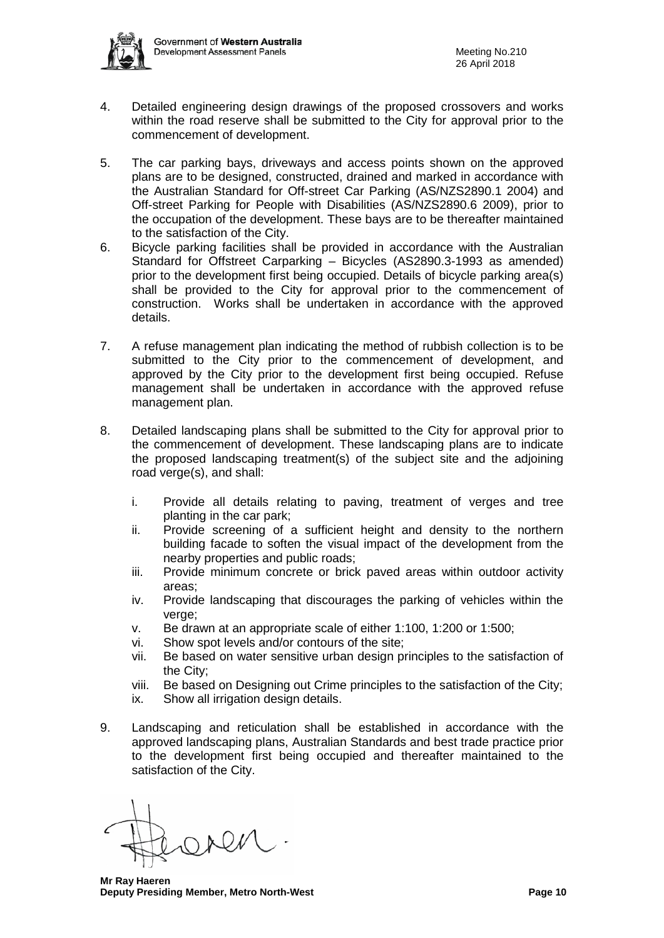

- 4. Detailed engineering design drawings of the proposed crossovers and works within the road reserve shall be submitted to the City for approval prior to the commencement of development.
- 5. The car parking bays, driveways and access points shown on the approved plans are to be designed, constructed, drained and marked in accordance with the Australian Standard for Off-street Car Parking (AS/NZS2890.1 2004) and Off-street Parking for People with Disabilities (AS/NZS2890.6 2009), prior to the occupation of the development. These bays are to be thereafter maintained to the satisfaction of the City.
- 6. Bicycle parking facilities shall be provided in accordance with the Australian Standard for Offstreet Carparking – Bicycles (AS2890.3-1993 as amended) prior to the development first being occupied. Details of bicycle parking area(s) shall be provided to the City for approval prior to the commencement of construction. Works shall be undertaken in accordance with the approved details.
- 7. A refuse management plan indicating the method of rubbish collection is to be submitted to the City prior to the commencement of development, and approved by the City prior to the development first being occupied. Refuse management shall be undertaken in accordance with the approved refuse management plan.
- 8. Detailed landscaping plans shall be submitted to the City for approval prior to the commencement of development. These landscaping plans are to indicate the proposed landscaping treatment(s) of the subject site and the adjoining road verge(s), and shall:
	- i. Provide all details relating to paving, treatment of verges and tree planting in the car park;
	- ii. Provide screening of a sufficient height and density to the northern building facade to soften the visual impact of the development from the nearby properties and public roads;
	- iii. Provide minimum concrete or brick paved areas within outdoor activity areas;
	- iv. Provide landscaping that discourages the parking of vehicles within the verge;
	- v. Be drawn at an appropriate scale of either 1:100, 1:200 or 1:500;
	- vi. Show spot levels and/or contours of the site;
	- vii. Be based on water sensitive urban design principles to the satisfaction of the City;
	- viii. Be based on Designing out Crime principles to the satisfaction of the City;
	- ix. Show all irrigation design details.
- 9. Landscaping and reticulation shall be established in accordance with the approved landscaping plans, Australian Standards and best trade practice prior to the development first being occupied and thereafter maintained to the satisfaction of the City.

 **Mr Ray Haeren Deputy Presiding Member, Metro North-West Page 10**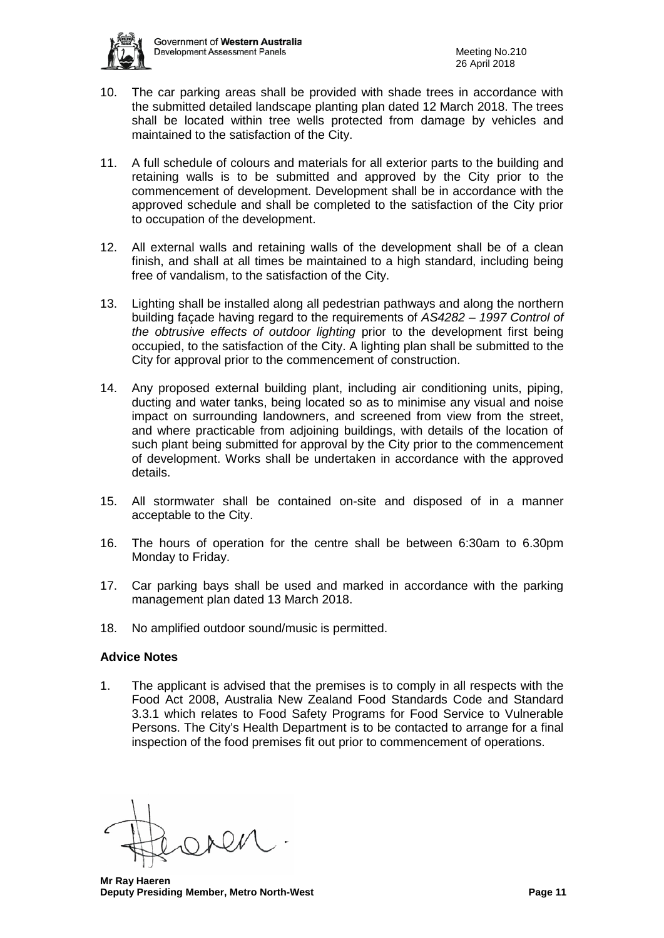

- 10. The car parking areas shall be provided with shade trees in accordance with the submitted detailed landscape planting plan dated 12 March 2018. The trees shall be located within tree wells protected from damage by vehicles and maintained to the satisfaction of the City.
- 11. A full schedule of colours and materials for all exterior parts to the building and retaining walls is to be submitted and approved by the City prior to the commencement of development. Development shall be in accordance with the approved schedule and shall be completed to the satisfaction of the City prior to occupation of the development.
- 12. All external walls and retaining walls of the development shall be of a clean finish, and shall at all times be maintained to a high standard, including being free of vandalism, to the satisfaction of the City.
- 13. Lighting shall be installed along all pedestrian pathways and along the northern building façade having regard to the requirements of *AS4282 – 1997 Control of the obtrusive effects of outdoor lighting* prior to the development first being occupied, to the satisfaction of the City. A lighting plan shall be submitted to the City for approval prior to the commencement of construction.
- 14. Any proposed external building plant, including air conditioning units, piping, ducting and water tanks, being located so as to minimise any visual and noise impact on surrounding landowners, and screened from view from the street, and where practicable from adjoining buildings, with details of the location of such plant being submitted for approval by the City prior to the commencement of development. Works shall be undertaken in accordance with the approved details.
- 15. All stormwater shall be contained on-site and disposed of in a manner acceptable to the City.
- 16. The hours of operation for the centre shall be between 6:30am to 6.30pm Monday to Friday.
- 17. Car parking bays shall be used and marked in accordance with the parking management plan dated 13 March 2018.
- 18. No amplified outdoor sound/music is permitted.

#### **Advice Notes**

1. The applicant is advised that the premises is to comply in all respects with the Food Act 2008, Australia New Zealand Food Standards Code and Standard 3.3.1 which relates to Food Safety Programs for Food Service to Vulnerable Persons. The City's Health Department is to be contacted to arrange for a final inspection of the food premises fit out prior to commencement of operations.

 **Mr Ray Haeren Deputy Presiding Member, Metro North-West <b>Page 11 Page 11**